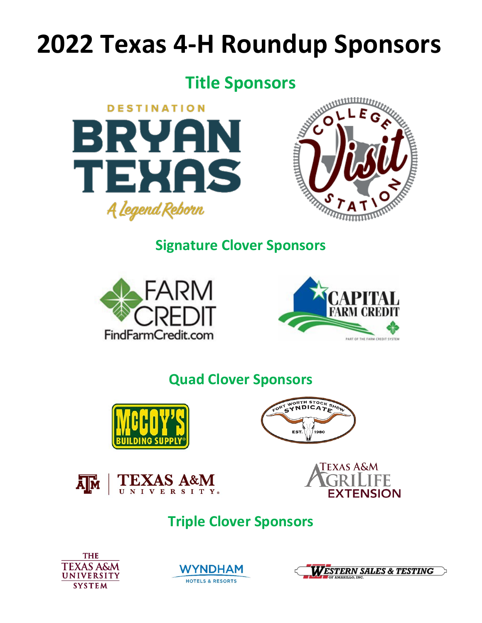# **2022 Texas 4-H Roundup Sponsors**

# **Title Sponsors**





# **Signature Clover Sponsors**





# **Quad Clover Sponsors**









# **Triple Clover Sponsors**





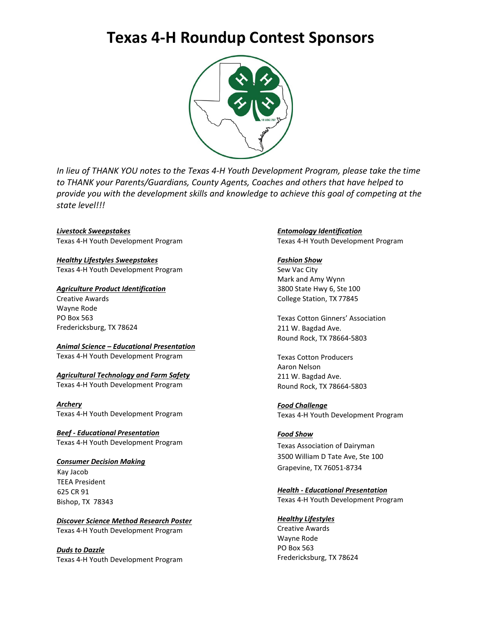### **Texas 4-H Roundup Contest Sponsors**



*In lieu of THANK YOU notes to the Texas 4-H Youth Development Program, please take the time to THANK your Parents/Guardians, County Agents, Coaches and others that have helped to provide you with the development skills and knowledge to achieve this goal of competing at the state level!!!*

*Livestock Sweepstakes* Texas 4-H Youth Development Program

*Healthy Lifestyles Sweepstakes* Texas 4-H Youth Development Program

*Agriculture Product Identification* Creative Awards Wayne Rode PO Box 563 Fredericksburg, TX 78624

*Animal Science – Educational Presentation* Texas 4-H Youth Development Program

*Agricultural Technology and Farm Safety* Texas 4-H Youth Development Program

*Archery* Texas 4-H Youth Development Program

*Beef - Educational Presentation* Texas 4-H Youth Development Program

#### *Consumer Decision Making*

Kay Jacob TEEA President 625 CR 91 Bishop, TX 78343

*Discover Science Method Research Poster* Texas 4-H Youth Development Program

*Duds to Dazzle* Texas 4-H Youth Development Program

#### *Entomology Identification* Texas 4-H Youth Development Program

#### *Fashion Show*

Sew Vac City Mark and Amy Wynn 3800 State Hwy 6, Ste 100 College Station, TX 77845

Texas Cotton Ginners' Association 211 W. Bagdad Ave. Round Rock, TX 78664-5803

Texas Cotton Producers Aaron Nelson 211 W. Bagdad Ave. Round Rock, TX 78664-5803

*Food Challenge* Texas 4-H Youth Development Program

#### *Food Show*

Texas Association of Dairyman 3500 William D Tate Ave, Ste 100 Grapevine, TX 76051-8734

*Health - Educational Presentation*

Texas 4-H Youth Development Program

*Healthy Lifestyles*

Creative Awards Wayne Rode PO Box 563 Fredericksburg, TX 78624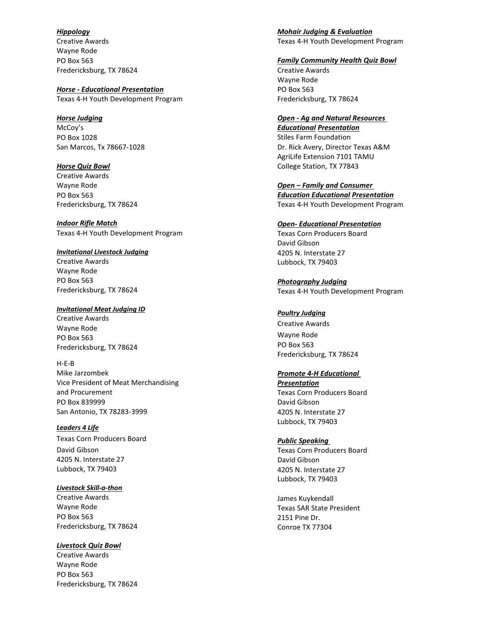*Hippology* Creative Awards Wayne Rode PO Box 563 Fredericksburg, TX 78624

*Horse - Educational Presentation* Texas 4-H Youth Development Program

#### *Horse Judging*

McCoy's PO Box 1028 San Marcos, Tx 78667-1028

*Horse Quiz Bowl* Creative Awards Wayne Rode PO Box 563 Fredericksburg, TX 78624

*Indoor Rifle Match* Texas 4-H Youth Development Program

#### *Invitational Livestock Judging*

Creative Awards Wayne Rode PO Box 563 Fredericksburg, TX 78624

#### *Invitational Meat Judging ID*

Creative Awards Wayne Rode PO Box 563 Fredericksburg, TX 78624

#### H-E-B

Mike Jarzombek Vice President of Meat Merchandising and Procurement PO Box 839999 San Antonio, TX 78283-3999

*Leaders 4 Life*

Texas Corn Producers Board David Gibson 4205 N. Interstate 27 Lubbock, TX 79403

#### *Livestock Skill-a-thon*

Creative Awards Wayne Rode PO Box 563 Fredericksburg, TX 78624

*Livestock Quiz Bowl*

Creative Awards Wayne Rode PO Box 563 Fredericksburg, TX 78624 *Mohair Judging & Evaluation* Texas 4-H Youth Development Program

#### *Family Community Health Quiz Bowl*

Creative Awards Wayne Rode PO Box 563 Fredericksburg, TX 78624

#### *Open - Ag and Natural Resources*

*Educational Presentation* Stiles Farm Foundation Dr. Rick Avery, Director Texas A&M AgriLife Extension 7101 TAMU College Station, TX 77843

*Open – Family and Consumer Education Educational Presentation* Texas 4-H Youth Development Program

#### *Open- Educational Presentation*

Texas Corn Producers Board David Gibson 4205 N. Interstate 27 Lubbock, TX 79403

*Photography Judging* Texas 4-H Youth Development Program

#### *Poultry Judging*

Creative Awards Wayne Rode PO Box 563 Fredericksburg, TX 78624

#### *Promote 4-H Educational*

*Presentation* Texas Corn Producers Board David Gibson 4205 N. Interstate 27 Lubbock, TX 79403

#### *Public Speaking*

Texas Corn Producers Board David Gibson 4205 N. Interstate 27 Lubbock, TX 79403

James Kuykendall Texas SAR State President 2151 Pine Dr. Conroe TX 77304